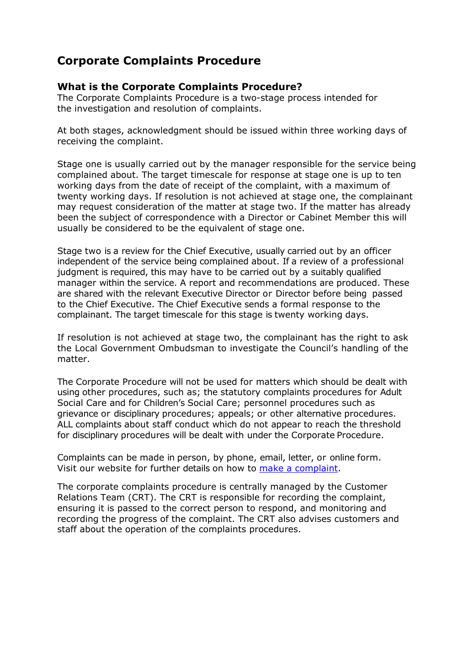# **Corporate Complaints Procedure**

### **What is the Corporate Complaints Procedure?**

The Corporate Complaints Procedure is a two-stage process intended for the investigation and resolution of complaints.

At both stages, acknowledgment should be issued within three working days of receiving the complaint.

Stage one is usually carried out by the manager responsible for the service being complained about. The target timescale for response at stage one is up to ten working days from the date of receipt of the complaint, with a maximum of twenty working days. If resolution is not achieved at stage one, the complainant may request consideration of the matter at stage two. If the matter has already been the subject of correspondence with a Director or Cabinet Member this will usually be considered to be the equivalent of stage one.

Stage two is a review for the Chief Executive, usually carried out by an officer independent of the service being complained about. If a review of a professional judgment is required, this may have to be carried out by a suitably qualified manager within the service. A report and recommendations are produced. These are shared with the relevant Executive Director or Director before being passed to the Chief Executive. The Chief Executive sends a formal response to the complainant. The target timescale for this stage is twenty working days.

If resolution is not achieved at stage two, the complainant has the right to ask the Local Government Ombudsman to investigate the Council's handling of the matter.

The Corporate Procedure will not be used for matters which should be dealt with using other procedures, such as; the statutory complaints procedures for Adult Social Care and for Children's Social Care; personnel procedures such as grievance or disciplinary procedures; appeals; or other alternative procedures. ALL complaints about staff conduct which do not appear to reach the threshold for disciplinary procedures will be dealt with under the Corporate Procedure.

Complaints can be made in person, by phone, email, letter, or online form. Visit our website for further details on how to [make a complaint.](https://www.westsussex.gov.uk/about-the-council/have-your-say/complaints/make-a-complaint/)

The corporate complaints procedure is centrally managed by the Customer Relations Team (CRT). The CRT is responsible for recording the complaint, ensuring it is passed to the correct person to respond, and monitoring and recording the progress of the complaint. The CRT also advises customers and staff about the operation of the complaints procedures.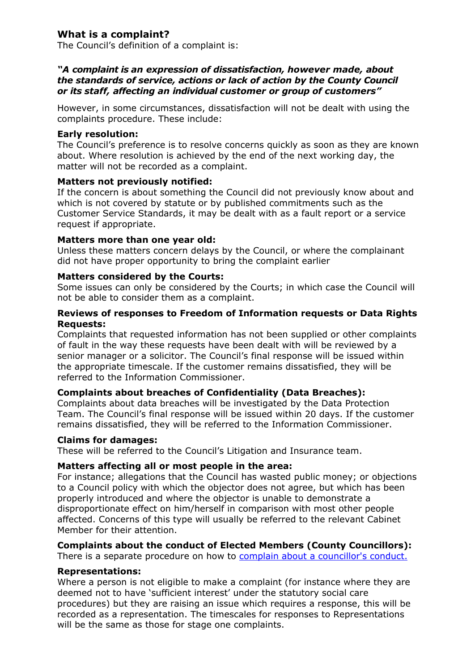# **What is a complaint?**

The Council's definition of a complaint is:

#### *"A complaint is an expression of dissatisfaction, however made, about the standards of service, actions or lack of action by the County Council or its staff, affecting an individual customer or group of customers"*

However, in some circumstances, dissatisfaction will not be dealt with using the complaints procedure. These include:

#### **Early resolution:**

The Council's preference is to resolve concerns quickly as soon as they are known about. Where resolution is achieved by the end of the next working day, the matter will not be recorded as a complaint.

#### **Matters not previously notified:**

If the concern is about something the Council did not previously know about and which is not covered by statute or by published commitments such as the Customer Service Standards, it may be dealt with as a fault report or a service request if appropriate.

#### **Matters more than one year old:**

Unless these matters concern delays by the Council, or where the complainant did not have proper opportunity to bring the complaint earlier

#### **Matters considered by the Courts:**

Some issues can only be considered by the Courts; in which case the Council will not be able to consider them as a complaint.

#### **Reviews of responses to Freedom of Information requests or Data Rights Requests:**

Complaints that requested information has not been supplied or other complaints of fault in the way these requests have been dealt with will be reviewed by a senior manager or a solicitor. The Council's final response will be issued within the appropriate timescale. If the customer remains dissatisfied, they will be referred to the Information Commissioner.

#### **Complaints about breaches of Confidentiality (Data Breaches):**

Complaints about data breaches will be investigated by the Data Protection Team. The Council's final response will be issued within 20 days. If the customer remains dissatisfied, they will be referred to the Information Commissioner.

#### **Claims for damages:**

These will be referred to the Council's Litigation and Insurance team.

#### **Matters affecting all or most people in the area:**

For instance; allegations that the Council has wasted public money; or objections to a Council policy with which the objector does not agree, but which has been properly introduced and where the objector is unable to demonstrate a disproportionate effect on him/herself in comparison with most other people affected. Concerns of this type will usually be referred to the relevant Cabinet Member for their attention.

## **Complaints about the conduct of Elected Members (County Councillors):**

There is a separate procedure on how to [complain about a councillor's conduct.](https://www.westsussex.gov.uk/about-the-council/have-your-say/complaints/complain-about-a-councillors-conduct/)

#### **Representations:**

Where a person is not eligible to make a complaint (for instance where they are deemed not to have 'sufficient interest' under the statutory social care procedures) but they are raising an issue which requires a response, this will be recorded as a representation. The timescales for responses to Representations will be the same as those for stage one complaints.